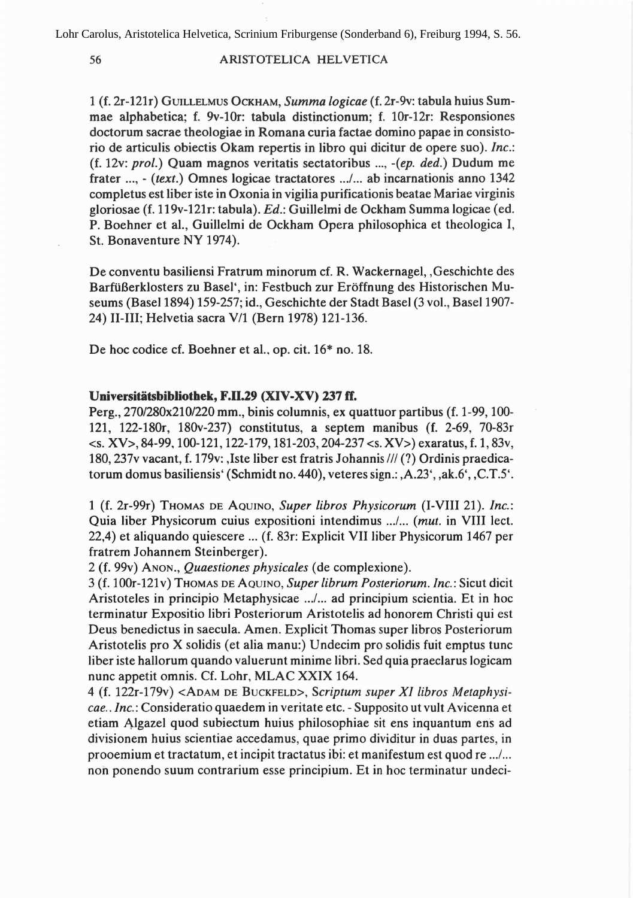## 56 ARISTOTELICA HELVETICA

1 (f. 2r-121r) GUILLELMUS OCKHAM, *Summa logicae* (f. 2r-9v: tabula huius Summae alphabetica; f. 9v-10r: tabula distinctionum; f. lOr-12r: Responsiones doctorum sacrae theologiae in Romana curia factae domino papae in consistorio de articulis obiectis Okam repertis in libro qui dicitur de opere suo). *Inc.:* (f. 12v: *pro/.)* Quam magnos veritatis sectatoribus ..., *-(ep. ded.)* Dudum me frater ..., - *(text.)* Omnes logicae tractatores .../... ab incarnationis anno 1342 completus est liber iste in Oxonia in vigilia purificationis beatae Mariae virginis gloriosae (f. 119v-121r: tabula). *Ed.:* Guillelmi de Ockham Summa logicae (ed. P. Boehner et al., Guillelmi de Ockham Opera philosophica et theologica I, St. Bonaventure NY 1974).

De conventu basiliensi Fratrum minorum cf. R. Wackernagel, ,Geschichte des Barfüßerklosters zu Basel', in: Festbuch zur Eröffnung des Historischen Museums (Basel 1894) 159-257; id., Geschichte der Stadt Basel (3 vol., Basel 1907- 24) 11-111; Helvetia sacra V/l (Bern 1978) 121-136.

De hoc codice cf. Boehner et al., op. cit.  $16*$  no. 18.

## Universitätsbibliothek, F.II.29 (XIV-XV) 237 ff.

Perg., 270/280x210/220 mm., binis columnis, ex quattuor partibus (f. 1-99, 100- 121, 122-180r, 180v-237) constitutus, a septem manibus (f. 2-69, 70-83r  $\langle 8. XV \rangle$ , 84-99, 100-121, 122-179, 181-203, 204-237 $\langle 8. XV \rangle$ ) exaratus, f. 1, 83v, 180, 237v vacant, f. 179v: ,Iste liber est fratris Johannis III (?) Ordinis praedicatorum domus basiliensis' (Schmidt no. 440), veteres sign.: ,A.23', ,ak.6', ,C.T.5'.

1 (f. 2r-99r) THOMAS OE AOUINO, *Super libros Physicorum* (I-VIII 21). *Inc.:* Quia liber Physicorum cuius expositioni intendimus .../... *(mut.* in VIII lect. 22,4) et aliquando quiescere ... (f. 83r: Explicit VII liber Physicorum 1467 per fratrem Johannem Steinberger).

2 (f. 99v) ANON., *Quaestiones physicales* (de complexione).

3 (f. 100r-121 v) THOMAS OE AOUINO, *Super librum Posteriorum. Inc.:* Sicut dicit Aristoteles in principio Metaphysicae .../... ad principium scientia. Et in hoc terminatur Expositio libri Posteriorum Aristotelis ad honorem Christi qui est Deus benedictus in saecula. Amen. Explicit Thomas super libros Posteriorum Aristotelis pro X solidis (et alia manu:) Undecim pro solidis fuit emptus tune liber iste hallorum quando valuerunt minime libri. Sed quia praeclarus logicam nunc appetit omnis. Cf. Lohr, MLAC XXIX 164.

4 (f. 122r-179v) <AOAM OE BUCKFELO>, *Scriptum super XI libros Metaphysicae.. Inc.:* Consideratio quaedem in veritate etc. - Supposita ut vult Avicenna et etiam Algazel quod subiectum huius philosaphiae sit ens inquantum ens ad divisianem huius scientiae accedamus, quae prima dividitur in duas partes, in prooemium et tractatum, et incipit tractatus ibi: et manifestum est quod re .../... noh ponendo suum contrarium esse principium. Et in hoc terminatur undeci